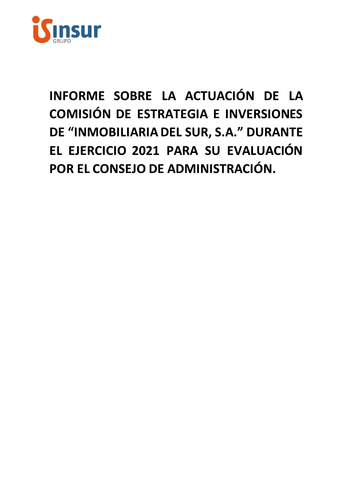

# INFORME SOBRE LA ACTUACIÓN DE LA COMISIÓN DE ESTRATEGIA E INVERSIONES DE "INMOBILIARIA DEL SUR, S.A." DURANTE EL EJERCICIO 2021 PARA SU EVALUACIÓN POR EL CONSEJO DE ADMINISTRACIÓN.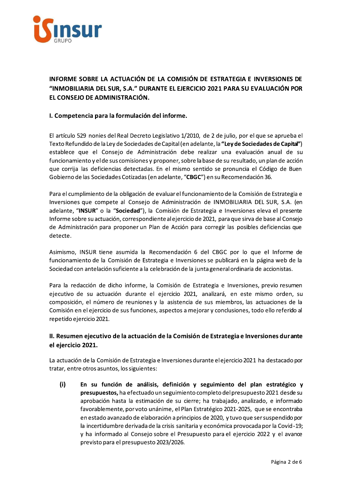

INFORME SOBRE LA ACTUACIÓN DE LA COMISIÓN DE ESTRATEGIA E INVERSIONES DE "INMOBILIARIA DEL SUR. S.A." DURANTE EL EJERCICIO 2021 PARA SU EVALUACIÓN POR EL CONSEJO DE ADMINISTRACIÓN.

# I. Competencia para la formulación del informe.

El artículo 529 nonies del Real Decreto Legislativo 1/2010, de 2 de julio, por el que se aprueba el Texto Refundido de la Ley de Sociedades de Capital (en adelante, la "Ley de Sociedades de Capital") establece que el Consejo de Administración debe realizar una evaluación anual de su funcionamiento y el de sus comisiones y proponer, sobre la base de su resultado, un plan de acción que corrija las deficiencias detectadas. En el mismo sentido se pronuncia el Código de Buen Gobierno de las Sociedades Cotizadas (en adelante, "CBGC") en su Recomendación 36.

Para el cumplimiento de la obligación de evaluar el funcionamiento de la Comisión de Estrategia e Inversiones que compete al Consejo de Administración de INMOBILIARIA DEL SUR, S.A. (en adelante, "INSUR" o la "Sociedad"), la Comisión de Estrategia e Inversiones eleva el presente Informe sobre su actuación, correspondiente al ejercicio de 2021, para que sirva de base al Consejo de Administración para proponer un Plan de Acción para corregir las posibles deficiencias que detecte.

Asimismo, INSUR tiene asumida la Recomendación 6 del CBGC por lo que el Informe de funcionamiento de la Comisión de Estrategia e Inversiones se publicará en la página web de la Sociedad con antelación suficiente a la celebración de la junta general ordinaria de accionistas.

Para la redacción de dicho informe, la Comisión de Estrategia e Inversiones, previo resumen ejecutivo de su actuación durante el ejercicio 2021, analizará, en este mismo orden, su composición, el número de reuniones y la asistencia de sus miembros, las actuaciones de la Comisión en el ejercicio de sus funciones, aspectos a mejorar y conclusiones, todo ello referido al repetido ejercicio 2021.

# II. Resumen ejecutivo de la actuación de la Comisión de Estrategia e Inversiones durante el ejercicio 2021.

La actuación de la Comisión de Estrategia e Inversiones durante el ejercicio 2021 ha destacado por tratar, entre otros asuntos, los siguientes:

 $(i)$ En su función de análisis, definición y seguimiento del plan estratégico y presupuestos, ha efectuado un seguimiento completo del presupuesto 2021 desde su aprobación hasta la estimación de su cierre; ha trabajado, analizado, e informado favorablemente, por voto unánime, el Plan Estratégico 2021-2025, que se encontraba en estado avanzado de elaboración a principios de 2020, y tuvo que ser suspendido por la incertidumbre derivada de la crisis sanitaria y económica provocada por la Covid-19; y ha informado al Consejo sobre el Presupuesto para el ejercicio 2022 y el avance previsto para el presupuesto 2023/2026.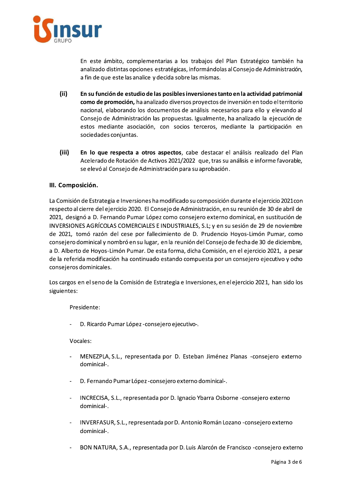

En este ámbito, complementarias a los trabajos del Plan Estratégico también ha analizado distintas opciones estratégicas, informándolas al Consejo de Administración, a fin de que este las analice y decida sobre las mismas.

- $(ii)$ En su función de estudio de las posibles inversiones tanto en la actividad patrimonial como de promoción, ha analizado diversos proyectos de inversión en todo el territorio nacional, elaborando los documentos de análisis necesarios para ello y elevando al Consejo de Administración las propuestas. Igualmente, ha analizado la ejecución de estos mediante asociación, con socios terceros, mediante la participación en sociedades conjuntas.
- $(iii)$ En lo que respecta a otros aspectos, cabe destacar el análisis realizado del Plan Acelerado de Rotación de Activos 2021/2022 que, tras su análisis e informe favorable, se elevó al Consejo de Administración para su aprobación.

## III. Composición.

La Comisión de Estrategia e Inversiones ha modificado su composición durante el ejercicio 2021 con respecto al cierre del ejercicio 2020. El Consejo de Administración, en su reunión de 30 de abril de 2021, designó a D. Fernando Pumar López como consejero externo dominical, en sustitución de INVERSIONES AGRÍCOLAS COMERCIALES E INDUSTRIALES, S.L; y en su sesión de 29 de noviembre de 2021, tomó razón del cese por fallecimiento de D. Prudencio Hoyos-Limón Pumar, como consejero dominical y nombró en su lugar, en la reunión del Consejo de fecha de 30 de diciembre, a D. Alberto de Hoyos-Limón Pumar. De esta forma, dicha Comisión, en el ejercicio 2021, a pesar de la referida modificación ha continuado estando compuesta por un consejero ejecutivo y ocho consejeros dominicales.

Los cargos en el seno de la Comisión de Estrategia e Inversiones, en el ejercicio 2021, han sido los siguientes:

Presidente:

D. Ricardo Pumar López-consejero ejecutivo-.

Vocales:

- MENEZPLA, S.L., representada por D. Esteban Jiménez Planas -consejero externo dominical-.
- D. Fernando Pumar López-consejero externo dominical-.  $\blacksquare$
- $\ddot{\phantom{1}}$ INCRECISA, S.L., representada por D. Ignacio Ybarra Osborne -consejero externo dominical-.
- INVERFASUR, S.L., representada por D. Antonio Román Lozano -consejero externo dominical-.
- BON NATURA, S.A., representada por D. Luis Alarcón de Francisco -consejero externo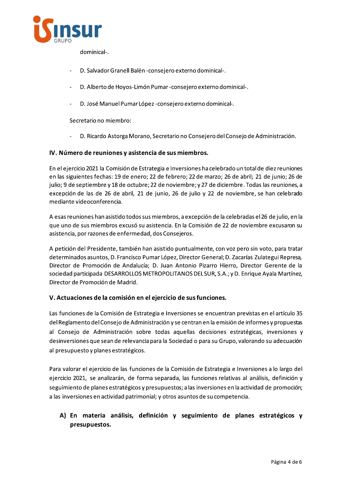

dominical-.

- D. Salvador Granell Balén consejero externo dominical-.
- D. Alberto de Hoyos-Limón Pumar-consejero externo dominical-.
- D. José Manuel Pumar López consejero externo dominical-.  $\omega$

Secretario no miembro:

D. Ricardo Astorga Morano, Secretario no Consejero del Consejo de Administración.  $\sim$ 

#### IV. Número de reuniones y asistencia de sus miembros.

En el ejercicio 2021 la Comisión de Estrategia e Inversiones ha celebrado un total de diez reuniones en las siguientes fechas: 19 de enero; 22 de febrero; 22 de marzo; 26 de abril; 21 de junio; 26 de julio; 9 de septiembre y 18 de octubre; 22 de noviembre; y 27 de diciembre. Todas las reuniones, a excepción de las de 26 de abril, 21 de junio, 26 de julio y 22 de noviembre, se han celebrado mediante videoconferencia.

A esas reuniones han asistido todos sus miembros, a excepción de la celebradas el 26 de julio, en la que uno de sus miembros excusó su asistencia. En la Comisión de 22 de noviembre excusaron su asistencia, por razones de enfermedad, dos Consejeros.

A petición del Presidente, también han asistido puntualmente, con voz pero sin voto, para tratar determinados asuntos, D. Francisco Pumar López, Director General; D. Zacarías Zulategui Represa, Director de Promoción de Andalucía; D. Juan Antonio Pizarro Hierro, Director Gerente de la sociedad participada DESARROLLOS METROPOLITANOS DEL SUR, S.A.; y D. Enrique Ayala Martínez, Director de Promoción de Madrid.

## V. Actuaciones de la comisión en el ejercicio de sus funciones.

Las funciones de la Comisión de Estrategia e Inversiones se encuentran previstas en el artículo 35 del Reglamento del Consejo de Administración y se centran en la emisión de informes y propuestas al Consejo de Administración sobre todas aquellas decisiones estratégicas, inversiones y desinversiones que sean de relevancia para la Sociedad o para su Grupo, valorando su adecuación al presupuesto y planes estratégicos.

Para valorar el ejercicio de las funciones de la Comisión de Estrategia e Inversiones a lo largo del ejercicio 2021, se analizarán, de forma separada, las funciones relativas al análisis, definición y seguimiento de planes estratégicos y presupuestos; a las inversiones en la actividad de promoción; a las inversiones en actividad patrimonial; y otros asuntos de su competencia.

# A) En materia análisis, definición y seguimiento de planes estratégicos y presupuestos.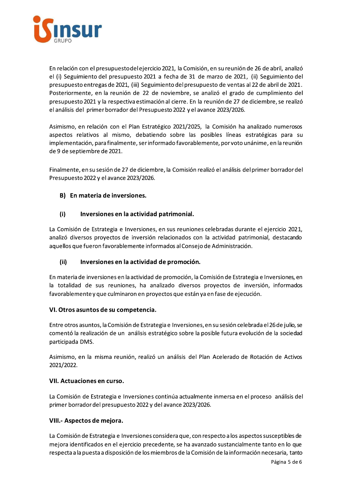

En relación con el presupuesto del ejercicio 2021, la Comisión, en su reunión de 26 de abril, analizó el (i) Seguimiento del presupuesto 2021 a fecha de 31 de marzo de 2021, (ii) Seguimiento del presupuesto entregas de 2021, (iii) Seguimiento del presupuesto de ventas al 22 de abril de 2021. Posteriormente, en la reunión de 22 de noviembre, se analizó el grado de cumplimiento del presupuesto 2021 y la respectiva estimación al cierre. En la reunión de 27 de diciembre, se realizó el análisis del primer borrador del Presupuesto 2022 y el avance 2023/2026.

Asimismo, en relación con el Plan Estratégico 2021/2025, la Comisión ha analizado numerosos aspectos relativos al mismo, debatiendo sobre las posibles líneas estratégicas para su implementación, para finalmente, ser informado favorablemente, por voto unánime, en la reunión de 9 de septiembre de 2021.

Finalmente, en su sesión de 27 de diciembre, la Comisión realizó el análisis del primer borrador del Presupuesto 2022 y el avance 2023/2026.

# B) En materia de inversiones.

#### $(i)$ Inversiones en la actividad patrimonial.

La Comisión de Estrategia e Inversiones, en sus reuniones celebradas durante el ejercicio 2021, analizó diversos proyectos de inversión relacionados con la actividad patrimonial, destacando aquellos que fueron favorablemente informados al Consejo de Administración.

#### $(i)$ Inversiones en la actividad de promoción.

En materia de inversiones en la actividad de promoción, la Comisión de Estrategia e Inversiones, en la totalidad de sus reuniones, ha analizado diversos proyectos de inversión, informados favorablemente y que culminaron en proyectos que están ya en fase de ejecución.

## VI. Otros asuntos de su competencia.

Entre otros asuntos, la Comisión de Estrategia e Inversiones, en su sesión celebrada el 26 de julio, se comentó la realización de un análisis estratégico sobre la posible futura evolución de la sociedad participada DMS.

Asimismo, en la misma reunión, realizó un análisis del Plan Acelerado de Rotación de Activos 2021/2022.

## VII. Actuaciones en curso.

La Comisión de Estrategia e Inversiones continúa actualmente inmersa en el proceso análisis del primer borrador del presupuesto 2022 y del avance 2023/2026.

# VIII.- Aspectos de mejora.

La Comisión de Estrategia e Inversiones considera que, con respecto a los aspectos susceptibles de mejora identificados en el ejercicio precedente, se ha avanzado sustancialmente tanto en lo que respecta a la puesta a disposición de los miembros de la Comisión de la información necesaria, tanto